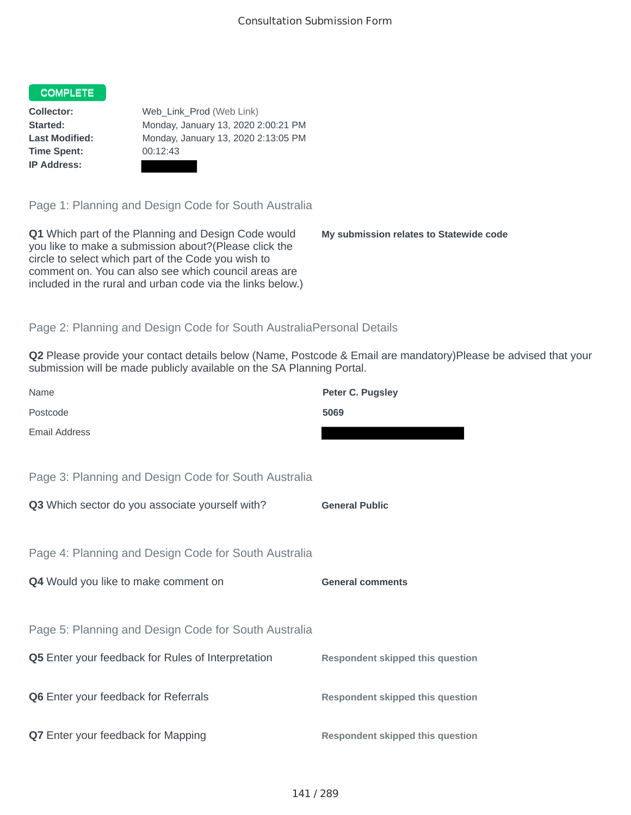## COMPLETE

**Time Spent:** 00:12:43 **IP Address:**

**Collector:** Web\_Link\_Prod (Web Link) **Started:** Monday, January 13, 2020 2:00:21 PM **Last Modified:** Monday, January 13, 2020 2:13:05 PM

Page 1: Planning and Design Code for South Australia

**Q1** Which part of the Planning and Design Code would you like to make a submission about?(Please click the circle to select which part of the Code you wish to comment on. You can also see which council areas are included in the rural and urban code via the links below.)

**My submission relates to Statewide code**

## Page 2: Planning and Design Code for South AustraliaPersonal Details

**Q2** Please provide your contact details below (Name, Postcode & Email are mandatory)Please be advised that your submission will be made publicly available on the SA Planning Portal.

| Name                                                      | Peter C. Pugsley                        |
|-----------------------------------------------------------|-----------------------------------------|
| Postcode                                                  | 5069                                    |
| <b>Email Address</b>                                      |                                         |
|                                                           |                                         |
| Page 3: Planning and Design Code for South Australia      |                                         |
| Q3 Which sector do you associate yourself with?           | <b>General Public</b>                   |
|                                                           |                                         |
| Page 4: Planning and Design Code for South Australia      |                                         |
| Q4 Would you like to make comment on                      | <b>General comments</b>                 |
|                                                           |                                         |
| Page 5: Planning and Design Code for South Australia      |                                         |
| <b>Q5</b> Enter your feedback for Rules of Interpretation | <b>Respondent skipped this question</b> |
|                                                           |                                         |
| Q6 Enter your feedback for Referrals                      | <b>Respondent skipped this question</b> |
|                                                           |                                         |
| <b>Q7</b> Enter your feedback for Mapping                 | <b>Respondent skipped this question</b> |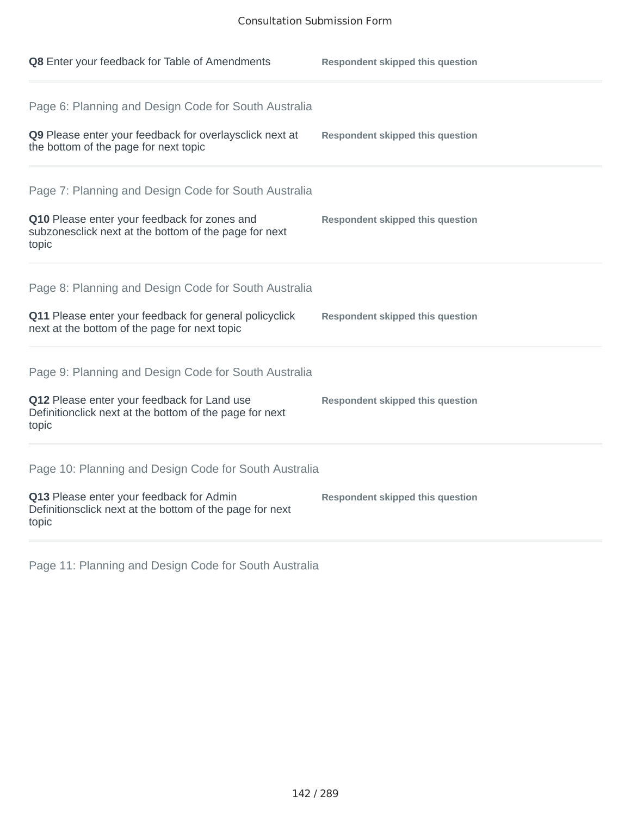| Q8 Enter your feedback for Table of Amendments                                                                                                                          | <b>Respondent skipped this question</b> |
|-------------------------------------------------------------------------------------------------------------------------------------------------------------------------|-----------------------------------------|
| Page 6: Planning and Design Code for South Australia<br>Q9 Please enter your feedback for overlaysclick next at<br>the bottom of the page for next topic                | <b>Respondent skipped this question</b> |
| Page 7: Planning and Design Code for South Australia<br>Q10 Please enter your feedback for zones and<br>subzonesclick next at the bottom of the page for next<br>topic  | <b>Respondent skipped this question</b> |
| Page 8: Planning and Design Code for South Australia<br>Q11 Please enter your feedback for general policyclick<br>next at the bottom of the page for next topic         | <b>Respondent skipped this question</b> |
| Page 9: Planning and Design Code for South Australia<br>Q12 Please enter your feedback for Land use<br>Definitionclick next at the bottom of the page for next<br>topic | <b>Respondent skipped this question</b> |
| Page 10: Planning and Design Code for South Australia<br>Q13 Please enter your feedback for Admin<br>Definitionsclick next at the bottom of the page for next<br>topic  | <b>Respondent skipped this question</b> |

Page 11: Planning and Design Code for South Australia